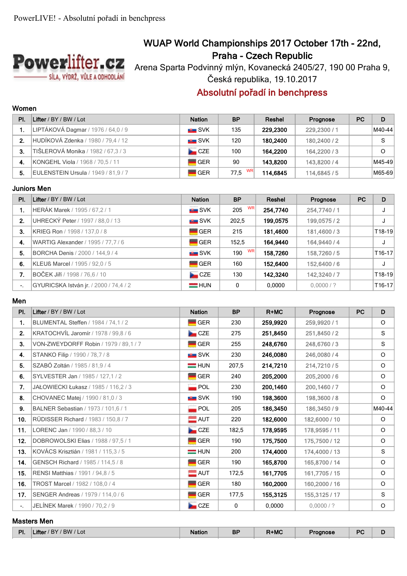

# **WUAP World Championships 2017 October 17th - 22nd, Praha - Czech Republic**

Arena Sparta Podvinný mlýn, Kovanecká 2405/27, 190 00 Praha 9, Česká republika, 19.10.2017

# **Absolutní pořadí in benchpress**

## **Women**

| PI. | Lifter / BY / BW / Lot              | <b>Nation</b>       | <b>BP</b>         | Reshel   | Prognose     | <b>PC</b> | D      |
|-----|-------------------------------------|---------------------|-------------------|----------|--------------|-----------|--------|
|     | LIPTÁKOVÁ Dagmar / 1976 / 64,0 / 9  | $\blacksquare$ SVK  | 135               | 229.2300 | 229,2300 / 1 |           | M40-44 |
| 2.  | HUDÍKOVÁ Zdenka / 1980 / 79,4 / 12  | $\blacksquare$ SVK  | 120               | 180.2400 | 180.2400 / 2 |           | S      |
| 3.  | TIŠLEROVÁ Monika / 1982 / 67,3 / 3  | <b>Exercise</b> CZE | 100               | 164.2200 | 164,2200 / 3 |           | O      |
| -4. | KONGEHL Viola / 1968 / 70.5 / 11    | l GER               | 90                | 143.8200 | 143,8200 / 4 |           | M45-49 |
| 5.  | EULENSTEIN Ursula / 1949 / 81,9 / 7 | <b>GER</b>          | <b>WR</b><br>77.5 | 114.6845 | 114.6845 / 5 |           | M65-69 |

### **Juniors Men**

| PI. | Lifter / BY / BW / Lot                 | <b>Nation</b>      | <b>BP</b> | Reshel   | Prognose     | <b>PC</b> | D        |
|-----|----------------------------------------|--------------------|-----------|----------|--------------|-----------|----------|
|     | HERÁK Marek / 1995 / 67,2 / 1          | <b>NE SVK</b>      | WR<br>205 | 254,7740 | 254,7740 / 1 |           | J        |
| 2.  | UHRECKÝ Peter / 1997 / 88,0 / 13       | ■ SVK              | 202,5     | 199,0575 | 199,0575/2   |           | J        |
| 3.  | KRIEG Ron / 1998 / 137,0 / 8           | <b>GER</b>         | 215       | 181,4600 | 181,4600/3   |           | $T18-19$ |
| 4.  | WARTIG Alexander / 1995 / 77, 7 / 6    | <b>GER</b>         | 152,5     | 164,9440 | 164,9440/4   |           | J        |
| 5.  | BORCHA Denis / 2000 / 144,9 / 4        | SVK                | WR<br>190 | 158,7260 | 158,7260/5   |           | $T16-17$ |
| 6.  | KLEUß Marcel / 1995 / 92,0 / 5         | $\blacksquare$ GER | 160       | 152,6400 | 152,6400 / 6 |           | J        |
| 7.  | BOČEK Jiří / 1998 / 76,6 / 10          | CZE                | 130       | 142,3240 | 142,3240/7   |           | $T18-19$ |
|     | GYURICSKA István jr. / 2000 / 74,4 / 2 | $=$ HUN            | 0         | 0.0000   | 0.0000/?     |           | $T16-17$ |

#### **Men**

| PI.   | Lifter / BY / BW / Lot                | <b>Nation</b>      | <b>BP</b>   | $R+MC$   | Prognose      | <b>PC</b> | D       |
|-------|---------------------------------------|--------------------|-------------|----------|---------------|-----------|---------|
| 1.    | BLUMENTAL Steffen / 1984 / 74.1 / 2   | $\blacksquare$ GER | 230         | 259,9920 | 259,9920 / 1  |           | $\circ$ |
| 2.    | KRATOCHVÍL Jaromír / 1978 / 99.8 / 6  | CZE                | 275         | 251,8450 | 251,8450/2    |           | S       |
| 3.    | VON-ZWEYDORFF Robin / 1979 / 89.1 / 7 | $\blacksquare$ GER | 255         | 248,6760 | 248,6760/3    |           | S       |
| 4.    | STANKO Filip / 1990 / 78,7 / 8        | <b>SVK</b>         | 230         | 246,0080 | 246,0080/4    |           | O       |
| 5.    | SZABÓ Zoltán / 1985 / 81,9 / 4        | $=$ HUN            | 207,5       | 214,7210 | 214,7210/5    |           | O       |
| 6.    | SYLVESTER Jan / 1985 / 127,1 / 2      | $\blacksquare$ GER | 240         | 205,2000 | 205,2000 / 6  |           | $\circ$ |
| 7.    | JAŁOWIECKI Łukasz / 1985 / 116,2 / 3  | $\blacksquare$ POL | 230         | 200,1460 | 200,1460/7    |           | $\circ$ |
| 8.    | CHOVANEC Matej / 1990 / 81,0 / 3      | SVK                | 190         | 198,3600 | 198,3600 / 8  |           | $\circ$ |
| 9.    | BALNER Sebastian / 1973 / 101.6 / 1   | POL                | 205         | 186,3450 | 186,3450/9    |           | M40-44  |
| 10.   | RÜDISSER Richard / 1983 / 150.8 / 7   | $\blacksquare$ AUT | 220         | 182,6000 | 182,6000 / 10 |           | $\circ$ |
| 11.   | LORENC Jan / 1990 / 88,3 / 10         | CZE                | 182,5       | 178,9595 | 178,9595 / 11 |           | $\circ$ |
| 12.   | DOBROWOLSKI Elias / 1988 / 97,5 / 1   | $\blacksquare$ GER | 190         | 175,7500 | 175,7500 / 12 |           | $\circ$ |
| $13.$ | KOVÁCS Krisztián / 1981 / 115,3 / 5   | $=$ HUN            | 200         | 174,4000 | 174,4000 / 13 |           | S       |
| 14.   | GENSCH Richard / 1985 / 114,5 / 8     | <b>GER</b>         | 190         | 165,8700 | 165,8700 / 14 |           | O       |
| 15.   | RENSI Matthias / 1991 / 94,8 / 5      | $\blacksquare$ AUT | 172,5       | 161,7705 | 161,7705 / 15 |           | O       |
| 16.   | TROST Marcel / 1982 / 108,0 / 4       | <b>GER</b>         | 180         | 160,2000 | 160,2000 / 16 |           | $\circ$ |
| 17.   | SENGER Andreas / 1979 / 114,0 / 6     | $\blacksquare$ GER | 177,5       | 155,3125 | 155,3125 / 17 |           | S       |
| ۰.    | JELÍNEK Marek / 1990 / 70,2 / 9       | <b>De</b> CZE      | $\mathbf 0$ | 0.0000   | 0.0000/?      |           | O       |

### **Masters Men**

| PI. | / RW<br>'Lot<br><b>BY</b><br>me | <b>Nation</b> | <b>BP</b><br>-- | +MC | Proanose | <b>DC</b><br>$\sim$ |  |
|-----|---------------------------------|---------------|-----------------|-----|----------|---------------------|--|
|     |                                 |               |                 |     |          |                     |  |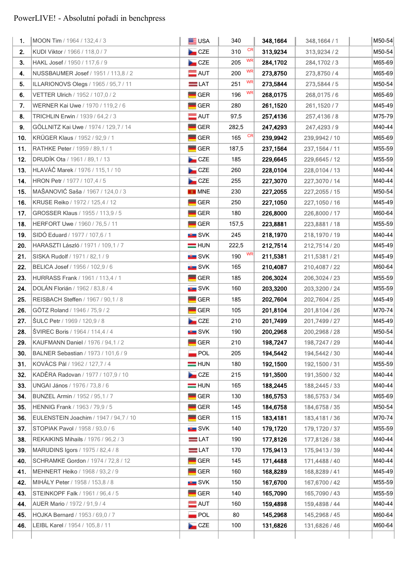# PowerLIVE! - Absolutní pořadí in benchpress

| 1.         | MOON Tim / 1964 / 132,4 / 3                                          | <b>ED</b> USA                    | 340                       | 348,1664             | 348, 1664 / 1                  | M50-54           |
|------------|----------------------------------------------------------------------|----------------------------------|---------------------------|----------------------|--------------------------------|------------------|
| 2.         | KUDI Viktor / 1966 / 118,0 / 7                                       | CZE                              | CR<br>310                 | 313,9234             | 313,9234/2                     | M50-54           |
| 3.         | HAKL Josef / 1950 / 117,6 / 9                                        | CZE                              | <b>WR</b><br>205          | 284,1702             | 284, 1702 / 3                  | M65-69           |
| 4.         | NUSSBAUMER Josef / 1951 / 113,8 / 2                                  | $\blacksquare$ AUT               | WR<br>200                 | 273,8750             | 273,8750/4                     | M65-69           |
| 5.         | ILLARIONOVS Olegs / 1965 / 95,7 / 11                                 | $=$ LAT                          | <b>WR</b><br>251          | 273,5844             | 273,5844 / 5                   | M50-54           |
| 6.         | VETTER Ulrich / 1952 / 107,0 / 2                                     | <b>GER</b>                       | WR<br>196                 | 268,0175             | 268,0175/6                     | M65-69           |
| 7.         | WERNER Kai Uwe / 1970 / 119,2 / 6                                    | <b>GER</b>                       | 280                       | 261,1520             | 261,1520/7                     | M45-49           |
| 8.         | TRICHLIN Erwin / 1939 / 64,2 / 3                                     | $\blacksquare$ AUT               | 97,5                      | 257,4136             | 257,4136/8                     | M75-79           |
| 9.         | GÖLLNITZ Kai Uwe / 1974 / 129,7 / 14                                 | GER                              | 282,5                     | 247,4293             | 247,4293/9                     | M40-44           |
| 10.        | KRÜGER Klaus / 1952 / 92,9 / 1                                       | GER                              | CR<br>165                 | 239,9942             | 239,9942 / 10                  | M65-69           |
| 11.        | RATHKE Peter / 1959 / 89,1 / 1                                       | <b>GER</b>                       | 187,5                     | 237,1564             | 237, 1564 / 11                 | M55-59           |
| 12.        | <b>DRUDÍK Ota</b> / 1961 / 89,1 / 13                                 | CZE                              | 185                       | 229,6645             | 229,6645 / 12                  | M55-59           |
| $13.$      | HLAVÁČ Marek / 1976 / 115,1 / 10                                     | CCE                              | 260                       | 228,0104             | 228,0104 / 13                  | M40-44           |
| 14.        | HRON Petr / 1977 / 107,4 / 5                                         | <b>No</b> CZE                    | 255                       | 227,3070             | 227,3070 / 14                  | M40-44           |
| 15.        | MAŠANOVIĆ Saša / 1967 / 124,0 / 3                                    | <b>ET MNE</b>                    | 230                       | 227,2055             | 227,2055 / 15                  | M50-54           |
| 16.        | KRUSE Reiko / 1972 / 125,4 / 12                                      | GER                              | 250                       | 227,1050             | 227,1050 / 16                  | M45-49           |
| 17.        | GROSSER Klaus / 1955 / 113,9 / 5                                     | <b>GER</b>                       | 180                       | 226,8000             | 226,8000 / 17                  | M60-64           |
|            |                                                                      |                                  |                           |                      |                                | M55-59           |
| 18.        | HERFORT Uwe / 1960 / 76,5 / 11<br>SIDÓ Eduard / 1977 / 107,6 / 1     | <b>GER</b>                       | 157,5<br>245              | 223,8881             | 223,8881/18                    | M40-44           |
| 19.        |                                                                      | SVK                              |                           | 218,1970             | 218,1970 / 19                  |                  |
| 20.        | HARASZTI László / 1971 / 109,1 / 7                                   | $=$ HUN                          | 222,5<br><b>WR</b><br>190 | 212,7514             | 212,7514 / 20                  | M45-49           |
| 21.<br>22. | SISKA Rudolf / 1971 / 82,1 / 9<br>BELICA Josef / 1956 / 102,9 / 6    | <b>SVK</b><br><b>SVK</b>         | 165                       | 211,5381             | 211,5381/21                    | M45-49<br>M60-64 |
|            |                                                                      |                                  |                           | 210,4087             | 210,4087 / 22                  |                  |
| 23.<br>24. | HURRASS Frank / 1961 / 113,4 / 1<br>DOLÁN Florián / 1962 / 83,8 / 4  | <b>GER</b><br><b>SVK</b>         | 185<br>160                | 206,3024<br>203,3200 | 206,3024 / 23<br>203,3200 / 24 | M55-59<br>M55-59 |
| 25.        | REISBACH Steffen / 1967 / 90,1 / 8                                   | <b>GER</b>                       | 185                       | 202,7604             | 202,7604 / 25                  | M45-49           |
|            |                                                                      |                                  |                           | 201,8104             |                                |                  |
| 26.<br>27. | GÖTZ Roland / 1946 / 75,9 / 2<br>ŠULC Petr / 1969 / 120,9 / 8        | <b>GER</b><br><b>No</b> CZE      | 105<br>210                | 201,7499             | 201,8104 / 26<br>201,7499 / 27 | M70-74<br>M45-49 |
|            |                                                                      |                                  |                           |                      | 200,2968 / 28                  |                  |
| 28.<br>29. | ŠVIREC Boris / 1964 / 114,4 / 4<br>KAUFMANN Daniel / 1976 / 94,1 / 2 | <b>SVK</b><br>$\blacksquare$ GER | 190<br>210                | 200,2968             |                                | M50-54<br>M40-44 |
|            |                                                                      |                                  |                           | 198,7247             | 198,7247 / 29                  |                  |
| 30.        | BALNER Sebastian / 1973 / 101,6 / 9                                  | <b>POL</b>                       | 205                       | 194,5442             | 194,5442 / 30                  | M40-44           |
| 31.        | KOVÁCS Pál / 1962 / 127,7 / 4                                        | $=$ HUN                          | 180                       | 192,1500             | 192,1500 / 31                  | M55-59<br>M40-44 |
| 32.        | KADĚRA Radovan / 1977 / 107,9 / 10                                   | CZE                              | 215                       | 191,3500             | 191,3500 / 32                  |                  |
| 33.        | UNGAI János / 1976 / 73,8 / 6                                        | $=$ HUN                          | 165                       | 188,2445             | 188,2445 / 33                  | M40-44           |
| 34.        | BUNZEL Armin / 1952 / 95,1 / 7                                       | GER                              | 130                       | 186,5753             | 186,5753 / 34                  | M65-69           |
| 35.        | HENNIG Frank / 1963 / 79,9 / 5                                       | GER                              | 145                       | 184,6758             | 184,6758 / 35                  | M50-54           |
| 36.        | EULENSTEIN Joachim / 1947 / 94,7 / 10                                | GER                              | 115                       | 183,4181             | 183,4181/36                    | M70-74           |
| 37.        | STOPIAK Pavol / 1958 / 93,0 / 6                                      | SVK                              | 140                       | 179,1720             | 179,1720 / 37                  | M55-59           |
| 38.        | REKAIKINS Mihails / 1976 / 96,2 / 3                                  | $= LAT$                          | 190                       | 177,8126             | 177,8126 / 38                  | M40-44           |
| 39.<br>40. | MARUDINS Igors / 1975 / 82,4 / 8                                     | $=$ LAT<br>≡                     | 170                       | 175,9413             | 175,9413 / 39<br>171,4488 / 40 | M40-44<br>M40-44 |
|            | SCHRAMKE Gordon / 1974 / 72,8 / 12                                   | GER                              | 145                       | 171,4488             |                                |                  |
| 41.<br>42. | MEHNERT Heiko / 1968 / 93,2 / 9<br>MIHÁLY Peter / 1958 / 153,8 / 8   | GER<br><b>Extra</b> SVK          | 160<br>150                | 168,8289             | 168,8289 / 41                  | M45-49<br>M55-59 |
| 43.        | STEINKOPF Falk / 1961 / 96,4 / 5                                     | <b>GER</b>                       | 140                       | 167,6700             | 167,6700 / 42<br>165,7090 / 43 | M55-59           |
| 44.        | AUER Mario / 1972 / 91,9 / 4                                         | $\blacksquare$ AUT               | 160                       | 165,7090             | 159,4898 / 44                  | M40-44           |
| 45.        |                                                                      | $\blacksquare$ POL               | 80                        | 159,4898             | 145,2968 / 45                  | M60-64           |
| 46.        | HOJKA Bernard / 1953 / 69,0 / 7<br>LEIBL Karel / 1954 / 105,8 / 11   | CZE                              | 100                       | 145,2968<br>131,6826 | 131,6826 / 46                  | M60-64           |
|            |                                                                      |                                  |                           |                      |                                |                  |
|            |                                                                      |                                  |                           |                      |                                |                  |